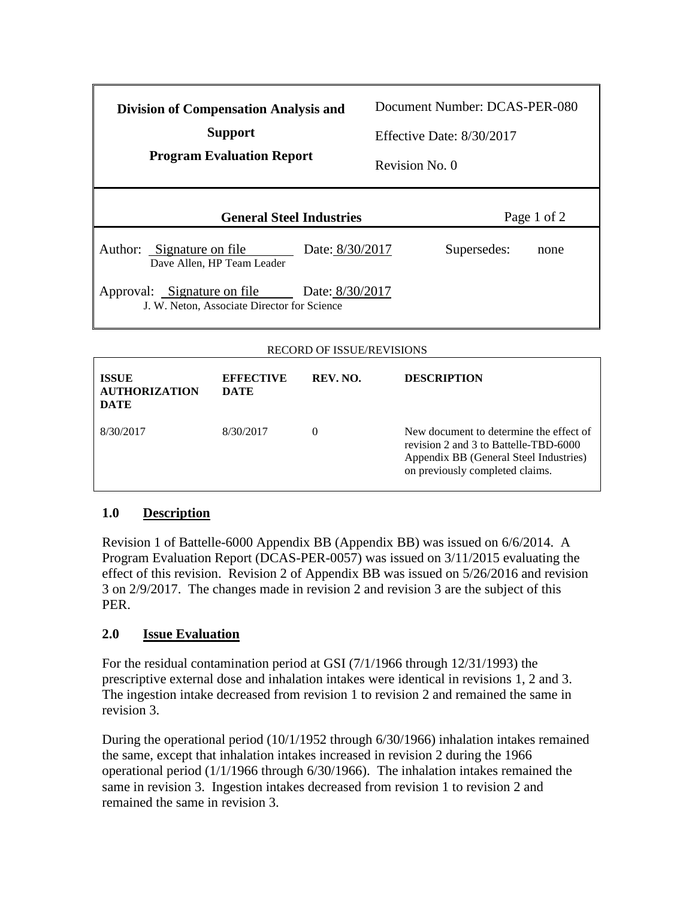| <b>Division of Compensation Analysis and</b><br><b>Support</b><br><b>Program Evaluation Report</b> | Document Number: DCAS-PER-080<br>Effective Date: $8/30/2017$<br>Revision No. 0 |
|----------------------------------------------------------------------------------------------------|--------------------------------------------------------------------------------|
| <b>General Steel Industries</b>                                                                    | Page 1 of 2                                                                    |
| Author: Signature on file<br>Date: 8/30/2017<br>Dave Allen, HP Team Leader                         | Supersedes:<br>none                                                            |
| Approval: Signature on file<br>Date: 8/30/2017<br>J. W. Neton, Associate Director for Science      |                                                                                |

## RECORD OF ISSUE/REVISIONS

| <b>ISSUE</b><br><b>AUTHORIZATION</b><br><b>DATE</b> | <b>EFFECTIVE</b><br><b>DATE</b> | REV. NO. | <b>DESCRIPTION</b>                                                                                                                                            |
|-----------------------------------------------------|---------------------------------|----------|---------------------------------------------------------------------------------------------------------------------------------------------------------------|
| 8/30/2017                                           | 8/30/2017                       | $^{(1)}$ | New document to determine the effect of<br>revision 2 and 3 to Battelle-TBD-6000<br>Appendix BB (General Steel Industries)<br>on previously completed claims. |

## **1.0 Description**

Revision 1 of Battelle-6000 Appendix BB (Appendix BB) was issued on 6/6/2014. A Program Evaluation Report (DCAS-PER-0057) was issued on 3/11/2015 evaluating the effect of this revision. Revision 2 of Appendix BB was issued on 5/26/2016 and revision 3 on 2/9/2017. The changes made in revision 2 and revision 3 are the subject of this PER.

## **2.0 Issue Evaluation**

For the residual contamination period at GSI (7/1/1966 through 12/31/1993) the prescriptive external dose and inhalation intakes were identical in revisions 1, 2 and 3. The ingestion intake decreased from revision 1 to revision 2 and remained the same in revision 3.

During the operational period (10/1/1952 through 6/30/1966) inhalation intakes remained the same, except that inhalation intakes increased in revision 2 during the 1966 operational period (1/1/1966 through 6/30/1966). The inhalation intakes remained the same in revision 3. Ingestion intakes decreased from revision 1 to revision 2 and remained the same in revision 3.